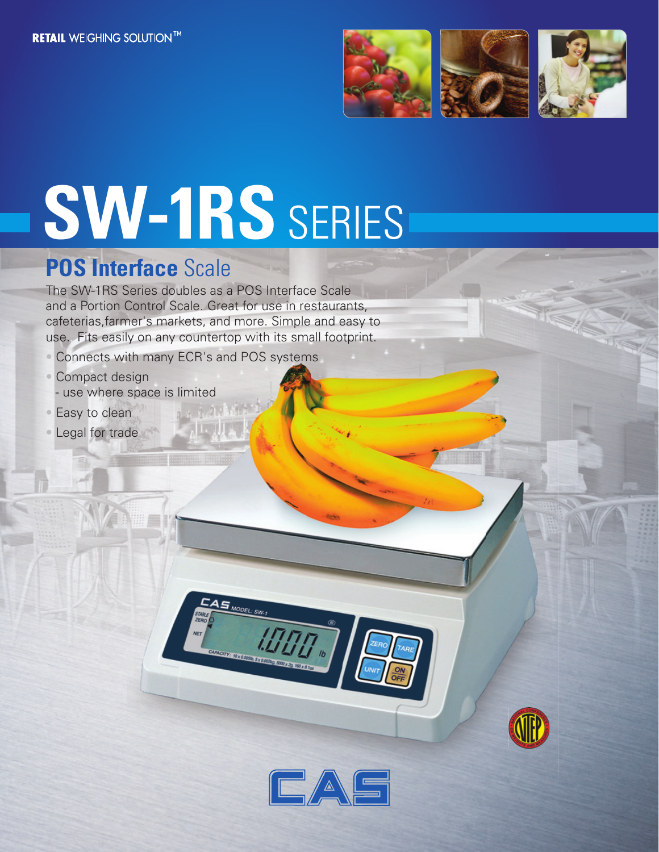

# **SW-1RS** SERIES

## **POS Interface** Scale

The SW-1RS Series doubles as a POS Interface Scale and a Portion Control Scale. Great for use in restaurants, cafeterias,farmer's markets, and more. Simple and easy to use. Fits easily on any countertop with its small footprint.

 $S_{MODEL:SW}$ 

- Connects with many ECR's and POS systems
- Compact design
- use where space is limited
- Easy to clean
- Legal for trade



**TOU.**